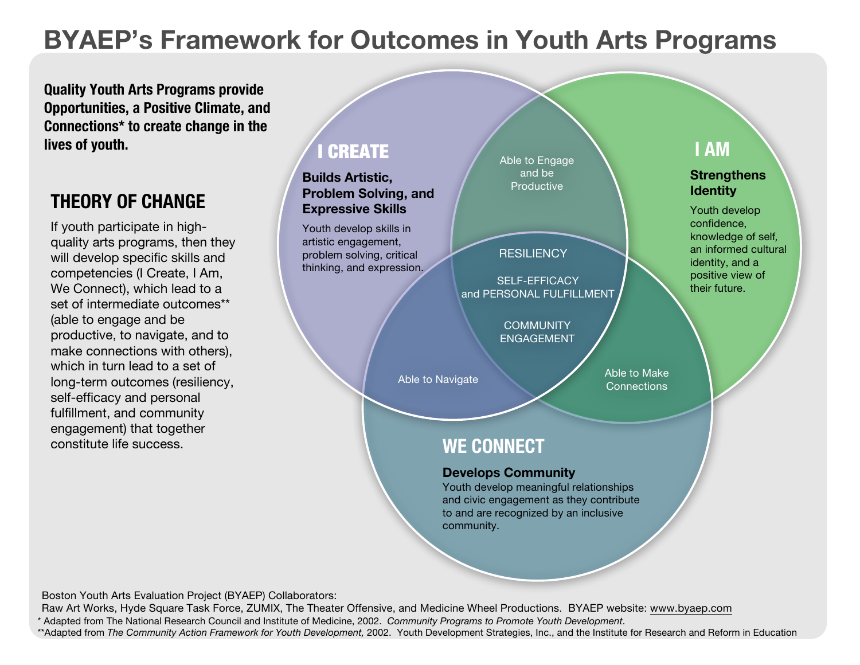# **BYAEP's Framework for Outcomes in Youth Arts Programs**

**Quality Youth Arts Programs provide Opportunities, a Positive Climate, and Connections\* to create change in the lives of youth.**

## **THEORY OF CHANGE**

If youth participate in highquality arts programs, then they will develop specific skills and competencies (I Create, I Am, We Connect), which lead to a set of intermediate outcomes\*\* (able to engage and be productive, to navigate, and to make connections with others), which in turn lead to a set of long-term outcomes (resiliency, self-efficacy and personal fulfillment, and community engagement) that together constitute life success. **WE CONNECT**

## I CREATE

**Builds Artistic, Problem Solving, and Expressive Skills** 

Youth develop skills in artistic engagement, problem solving, critical thinking, and expression. Able to Engage and be **Productive** 

### **RESILIENCY**

SELF-EFFICACY and PERSONAL FULFILLMENT

> **COMMUNITY** ENGAGEMENT

## **I AM**

#### **Strengthens Identity**

Youth develop confidence, knowledge of self, an informed cultural identity, and a positive view of their future.

Able to Make Able to Navigate **Able to Navigate** Able to Make

#### **Develops Community**

Youth develop meaningful relationships and civic engagement as they contribute to and are recognized by an inclusive community.

Boston Youth Arts Evaluation Project (BYAEP) Collaborators:

Adapted from The National Research Council and Institute of Medicine, 2002. Community Programs to Promote Youth Development. Raw Art Works, Hyde Square Task Force, ZUMIX, The Theater Offensive, and Medicine Wheel Productions. BYAEP website: www.byaep.com

\*\*Adapted from The Community Action Framework for Youth Development, 2002. Youth Development Strategies, Inc., and the Institute for Research and Reform in Education